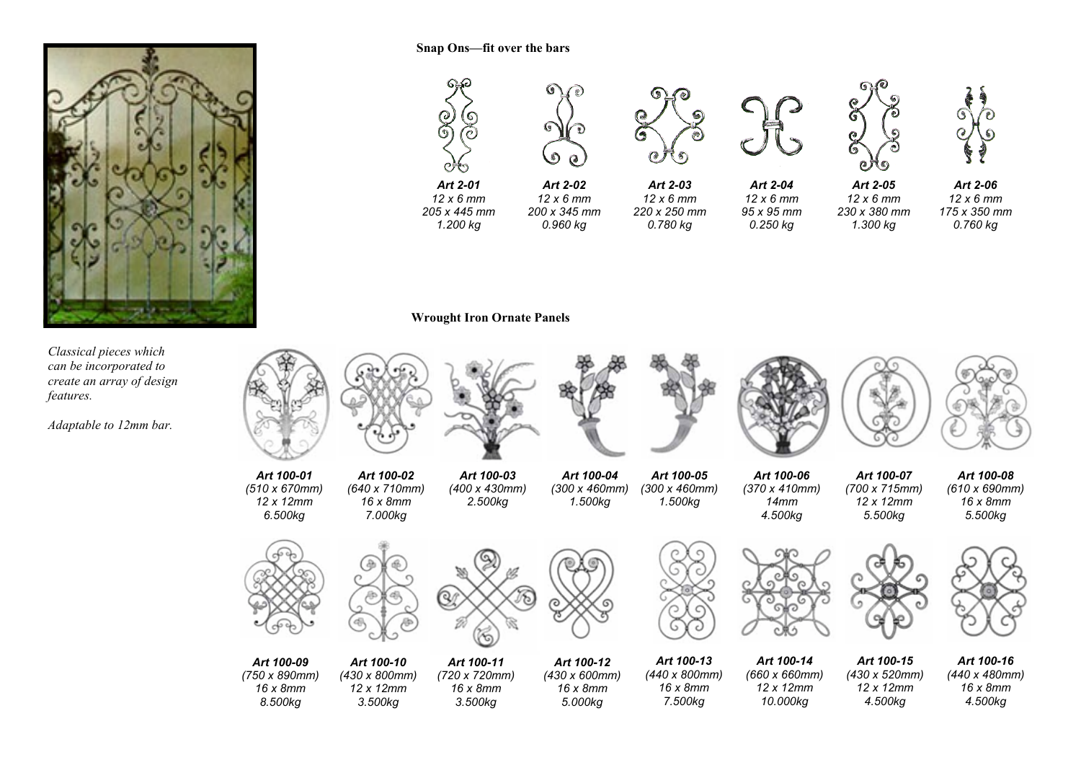

*Classical pieces which can be incorporated to create an array of design features.* 

*Adaptable to 12mm bar.*

*(750 x 890mm) 16 x 8mm 8.500kg* 

*(430 x 800mm) 12 x 12mm 3.500kg* 

*(720 x 720mm) 16 x 8mm 3.500kg* 

*(430 x 600mm) 16 x 8mm 5.000kg* 





*(440 x 800mm) 16 x 8mm 7.500kg* 

*(660 x 660mm) 12 x 12mm 10.000kg* 

*(430 x 520mm) 12 x 12mm 4.500kg* 

*(440 x 480mm) 16 x 8mm 4.500kg*